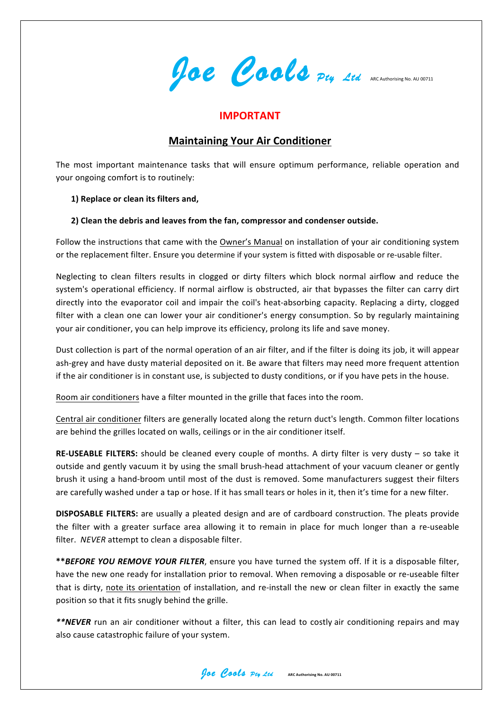**Joe Cools** *Pty Ltd* ARC Authorising No. AU 00711

### **IMPORTANT**

# **Maintaining Your Air Conditioner**

The most important maintenance tasks that will ensure optimum performance, reliable operation and your ongoing comfort is to routinely:

### **1) Replace or clean its filters and,**

### **2) Clean the debris and leaves from the fan, compressor and condenser outside.**

Follow the instructions that came with the Owner's Manual on installation of your air conditioning system or the replacement filter. Ensure you determine if your system is fitted with disposable or re-usable filter.

Neglecting to clean filters results in clogged or dirty filters which block normal airflow and reduce the system's operational efficiency. If normal airflow is obstructed, air that bypasses the filter can carry dirt directly into the evaporator coil and impair the coil's heat-absorbing capacity. Replacing a dirty, clogged filter with a clean one can lower your air conditioner's energy consumption. So by regularly maintaining your air conditioner, you can help improve its efficiency, prolong its life and save money.

Dust collection is part of the normal operation of an air filter, and if the filter is doing its job, it will appear ash-grey and have dusty material deposited on it. Be aware that filters may need more frequent attention if the air conditioner is in constant use, is subjected to dusty conditions, or if you have pets in the house.

Room air conditioners have a filter mounted in the grille that faces into the room.

Central air conditioner filters are generally located along the return duct's length. Common filter locations are behind the grilles located on walls, ceilings or in the air conditioner itself.

**RE-USEABLE FILTERS:** should be cleaned every couple of months. A dirty filter is very dusty  $-$  so take it outside and gently vacuum it by using the small brush-head attachment of your vacuum cleaner or gently brush it using a hand-broom until most of the dust is removed. Some manufacturers suggest their filters are carefully washed under a tap or hose. If it has small tears or holes in it, then it's time for a new filter.

**DISPOSABLE FILTERS:** are usually a pleated design and are of cardboard construction. The pleats provide the filter with a greater surface area allowing it to remain in place for much longer than a re-useable filter. *NEVER* attempt to clean a disposable filter.

\*\* BEFORE YOU REMOVE YOUR FILTER, ensure you have turned the system off. If it is a disposable filter, have the new one ready for installation prior to removal. When removing a disposable or re-useable filter that is dirty, note its orientation of installation, and re-install the new or clean filter in exactly the same position so that it fits snugly behind the grille.

\*\*NEVER run an air conditioner without a filter, this can lead to costly air conditioning repairs and may also cause catastrophic failure of your system.